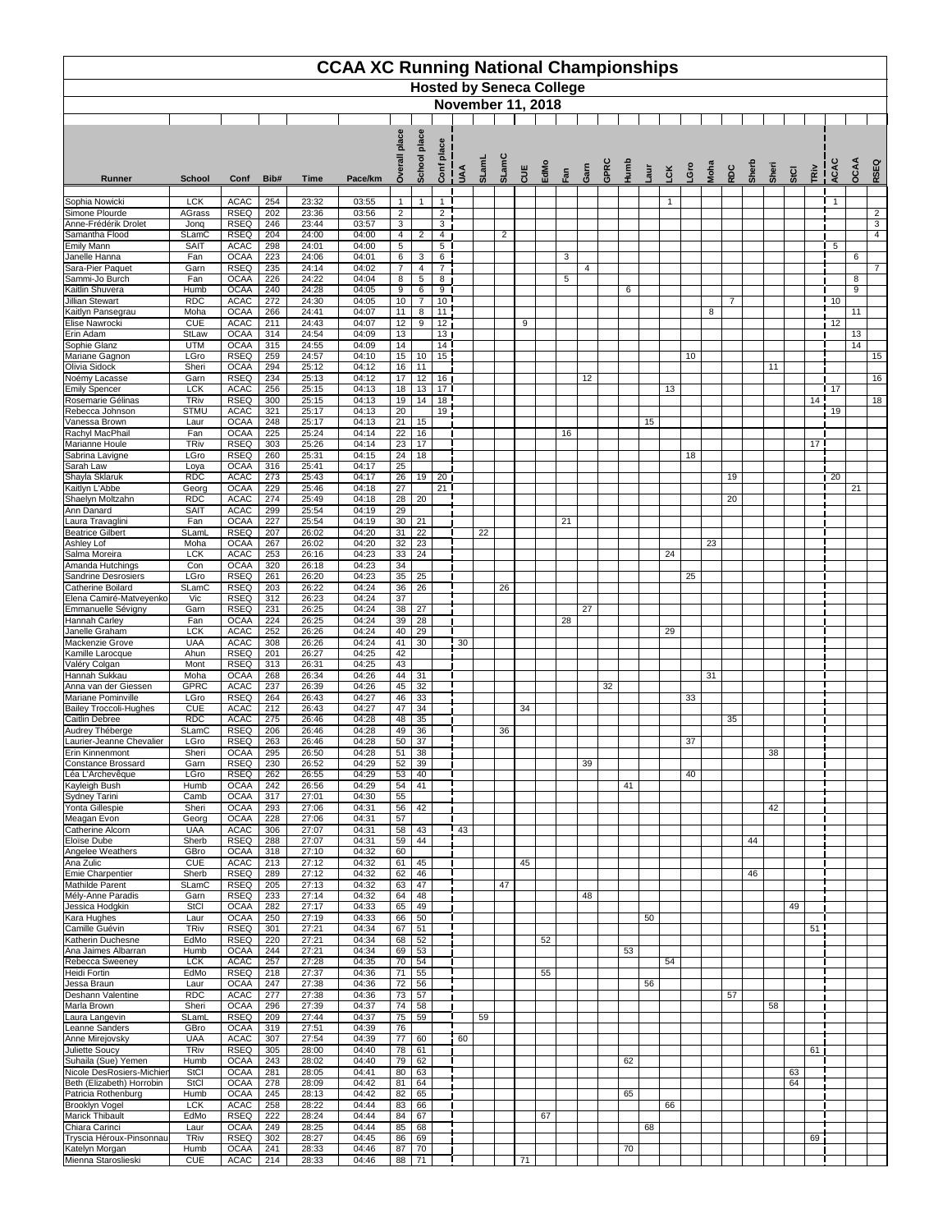|                                                     | <b>CCAA XC Running National Championships</b><br><b>Hosted by Seneca College</b><br><b>November 11, 2018</b> |                            |            |                |                |                                |                     |                                    |               |       |                |     |      |     |      |              |      |     |            |      |                |       |       |      |                 |                |      |                |
|-----------------------------------------------------|--------------------------------------------------------------------------------------------------------------|----------------------------|------------|----------------|----------------|--------------------------------|---------------------|------------------------------------|---------------|-------|----------------|-----|------|-----|------|--------------|------|-----|------------|------|----------------|-------|-------|------|-----------------|----------------|------|----------------|
|                                                     |                                                                                                              |                            |            |                |                |                                |                     |                                    |               |       |                |     |      |     |      |              |      |     |            |      |                |       |       |      |                 |                |      |                |
|                                                     |                                                                                                              |                            |            |                |                | place                          | place<br>School     | place<br>onf                       |               | SLamL | SLamC          |     |      |     |      | GPRC<br>Humb |      |     |            |      |                |       |       |      |                 | ACAC           | OCAA | RSEQ           |
| <b>Runner</b>                                       | <b>School</b>                                                                                                | Conf                       | Bib#       | <b>Time</b>    | Pace/km        | Over                           |                     | $\mathbf C$                        | $\frac{1}{1}$ |       |                | CUE | EdMo | Fan | Garn |              | -aur | -CK | <b>Gro</b> | Moha | <b>RDC</b>     | Sherb | Sheri | StCI | TRiv            |                |      |                |
| Sophia Nowicki<br>Simone Plourde                    | <b>LCK</b><br><b>AGrass</b>                                                                                  | <b>ACAC</b><br><b>RSEQ</b> | 254<br>202 | 23:32<br>23:36 | 03:55<br>03:56 | $\mathbf{1}$<br>$\overline{2}$ | $\mathbf{1}$        | $\mathbf{1}$<br>$\overline{2}$     |               |       |                |     |      |     |      |              |      | 1   |            |      |                |       |       |      |                 | -1             |      | $\overline{2}$ |
| Anne-Frédérik Drolet                                | Jonq                                                                                                         | <b>RSEQ</b>                | 246        | 23:44          | 03:57          | $\overline{3}$                 |                     | 3                                  |               |       |                |     |      |     |      |              |      |     |            |      |                |       |       |      |                 |                |      | $\overline{3}$ |
| Samantha Flood<br><b>Emily Mann</b>                 | <b>SLamC</b><br><b>SAIT</b>                                                                                  | <b>RSEQ</b><br><b>ACAC</b> | 204<br>298 | 24:00<br>24:01 | 04:00<br>04:00 | $\overline{4}$<br>5            | $\overline{2}$      | 4<br>$5\phantom{.0}$               |               |       | $\overline{2}$ |     |      |     |      |              |      |     |            |      |                |       |       |      |                 | $\overline{5}$ |      | $\overline{4}$ |
| Janelle Hanna<br>Sara-Pier Paquet                   | Fan<br>Garn                                                                                                  | <b>OCAA</b><br><b>RSEQ</b> | 223<br>235 | 24:06<br>24:14 | 04:01<br>04:02 | 6<br>$\overline{7}$            | $\mathbf{3}$<br>4   | $\,6\,$<br>$\overline{7}$          |               |       |                |     |      | 3   | 4    |              |      |     |            |      |                |       |       |      |                 |                | 6    | $\overline{7}$ |
| Sammi-Jo Burch                                      | Fan                                                                                                          | <b>OCAA</b>                | 226        | 24:22          | 04:04          | 8                              | $\sqrt{5}$          | 8                                  |               |       |                |     |      | 5   |      |              |      |     |            |      |                |       |       |      |                 |                | 8    |                |
| Kaitlin Shuvera<br>Jillian Stewart                  | Humb<br><b>RDC</b>                                                                                           | <b>OCAA</b><br><b>ACAC</b> | 240<br>272 | 24:28<br>24:30 | 04:05<br>04:05 | 9<br>10                        | 6<br>$\overline{7}$ | 9<br>10                            |               |       |                |     |      |     |      | 6            |      |     |            |      | $\overline{7}$ |       |       |      |                 | 10             | 9    |                |
| Kaitlyn Pansegrau                                   | Moha                                                                                                         | <b>OCAA</b>                | 266        | 24:41          | 04:07          | 11                             | 8                   | 11                                 |               |       |                |     |      |     |      |              |      |     |            | 8    |                |       |       |      |                 |                | 11   |                |
| Elise Nawrocki<br>Erin Adam                         | <b>CUE</b><br><b>StLaw</b>                                                                                   | <b>ACAC</b><br><b>OCAA</b> | 211<br>314 | 24:43<br>24:54 | 04:07<br>04:09 | 12<br>13                       | 9                   | 12<br>13 <sup>1</sup>              |               |       |                | 9   |      |     |      |              |      |     |            |      |                |       |       |      |                 | 12             | 13   |                |
| Sophie Glanz                                        | <b>UTM</b>                                                                                                   | <b>OCAA</b>                | 315        | 24:55          | 04:09          | $\overline{14}$                |                     | $\overline{14}$                    |               |       |                |     |      |     |      |              |      |     |            |      |                |       |       |      |                 |                | 14   |                |
| Mariane Gagnon<br>Olivia Sidock                     | LGro<br>Sheri                                                                                                | <b>RSEQ</b><br><b>OCAA</b> | 259<br>294 | 24:57<br>25:12 | 04:10<br>04:12 | 15<br>16                       | 10<br>11            | $\overline{15}$                    |               |       |                |     |      |     |      |              |      |     | 10         |      |                |       | 11    |      |                 |                |      | 15             |
| Noémy Lacasse                                       | Garn<br><b>LCK</b>                                                                                           | <b>RSEQ</b><br><b>ACAC</b> | 234<br>256 | 25:13<br>25:15 | 04:12<br>04:13 | 17<br>18                       | 12<br>13            | 16<br>17 I                         |               |       |                |     |      |     | 12   |              |      | 13  |            |      |                |       |       |      |                 | 17             |      | 16             |
| <b>Emily Spencer</b><br>Rosemarie Gélinas           | <b>TRiv</b>                                                                                                  | <b>RSEQ</b>                | 300        | 25:15          | 04:13          | 19                             | 14                  | 18                                 |               |       |                |     |      |     |      |              |      |     |            |      |                |       |       |      | 14 <sup>1</sup> |                |      | 18             |
| Rebecca Johnson<br>Vanessa Brown                    | <b>STMU</b><br>Laur                                                                                          | <b>ACAC</b><br><b>OCAA</b> | 321<br>248 | 25:17<br>25:17 | 04:13<br>04:13 | 20<br>21                       | 15                  | 19                                 |               |       |                |     |      |     |      |              | 15   |     |            |      |                |       |       |      |                 | 19             |      |                |
| Rachyl MacPhail                                     | Fan                                                                                                          | <b>OCAA</b>                | 225        | 25:24          | 04:14          | 22                             | 16                  |                                    |               |       |                |     |      | 16  |      |              |      |     |            |      |                |       |       |      |                 |                |      |                |
| Marianne Houle<br>Sabrina Lavigne                   | <b>TRiv</b><br>LGro                                                                                          | <b>RSEQ</b><br><b>RSEQ</b> | 303<br>260 | 25:26<br>25:31 | 04:14<br>04:15 | 23<br>24                       | 17<br>18            |                                    |               |       |                |     |      |     |      |              |      |     | 18         |      |                |       |       |      | 17 <sup>1</sup> |                |      |                |
| Sarah Law                                           | Loya                                                                                                         | <b>OCAA</b>                | 316        | 25:41          | 04:17          | $\overline{25}$                |                     |                                    |               |       |                |     |      |     |      |              |      |     |            |      |                |       |       |      |                 |                |      |                |
| Shayla Sklaruk<br>Kaitlyn L'Abbe                    | <b>RDC</b><br>Georg                                                                                          | <b>ACAC</b><br><b>OCAA</b> | 273<br>229 | 25:43<br>25:46 | 04:17<br>04:18 | 26<br>27                       | 19                  | 20 <sub>1</sub><br>21 <sup>1</sup> |               |       |                |     |      |     |      |              |      |     |            |      | 19             |       |       |      |                 | 20             | 21   |                |
| Shaelyn Moltzahn                                    | <b>RDC</b>                                                                                                   | <b>ACAC</b>                | 274        | 25:49          | 04:18          | 28                             | 20                  |                                    |               |       |                |     |      |     |      |              |      |     |            |      | 20             |       |       |      |                 |                |      |                |
| Ann Danard<br>Laura Travaglini                      | <b>SAIT</b><br>Fan                                                                                           | <b>ACAC</b><br><b>OCAA</b> | 299<br>227 | 25:54<br>25:54 | 04:19<br>04:19 | $\overline{29}$<br>30          | 21                  |                                    |               |       |                |     |      | 21  |      |              |      |     |            |      |                |       |       |      |                 |                |      |                |
| <b>Beatrice Gilbert</b>                             | SLaml                                                                                                        | <b>RSEQ</b>                | 207        | 26:02          | 04:20          | 31                             | 22                  |                                    |               | 22    |                |     |      |     |      |              |      |     |            |      |                |       |       |      |                 |                |      |                |
| Ashley Lof<br>Salma Moreira                         | Moha<br><b>LCK</b>                                                                                           | <b>OCAA</b><br><b>ACAC</b> | 267<br>253 | 26:02<br>26:16 | 04:20<br>04:23 | 32<br>33                       | 23<br>24            |                                    |               |       |                |     |      |     |      |              |      | 24  |            | 23   |                |       |       |      |                 |                |      |                |
| Amanda Hutchings                                    | Con                                                                                                          | <b>OCAA</b>                | 320        | 26:18          | 04:23          | 34                             |                     |                                    |               |       |                |     |      |     |      |              |      |     |            |      |                |       |       |      |                 |                |      |                |
| Sandrine Desrosiers<br><b>Catherine Boilard</b>     | LGro<br><b>SLamC</b>                                                                                         | <b>RSEQ</b><br><b>RSEQ</b> | 261<br>203 | 26:20<br>26:22 | 04:23<br>04:24 | $\overline{35}$<br>36          | 25<br>26            |                                    |               |       | 26             |     |      |     |      |              |      |     | 25         |      |                |       |       |      |                 |                |      |                |
| Elena Camiré-Matveyenko<br>Emmanuelle Sévigny       | Vic<br>Garn                                                                                                  | <b>RSEQ</b><br><b>RSEQ</b> | 312<br>231 | 26:23<br>26:25 | 04:24<br>04:24 | 37<br>38                       | 27                  |                                    |               |       |                |     |      |     | 27   |              |      |     |            |      |                |       |       |      |                 |                |      |                |
| <b>Hannah Carley</b>                                | Fan                                                                                                          | <b>OCAA</b>                | 224        | 26:25          | 04:24          | 39                             | 28                  |                                    |               |       |                |     |      | 28  |      |              |      |     |            |      |                |       |       |      |                 |                |      |                |
| Janelle Graham<br>Mackenzie Grove                   | <b>LCK</b><br><b>UAA</b>                                                                                     | <b>ACAC</b><br><b>ACAC</b> | 252<br>308 | 26:26<br>26:26 | 04:24<br>04:24 | 40<br>41                       | 29<br>30            |                                    | 30            |       |                |     |      |     |      |              |      | 29  |            |      |                |       |       |      |                 |                |      |                |
| Kamille Larocque                                    | Ahun                                                                                                         | <b>RSEQ</b>                | 201        | 26:27          | 04:25          | 42                             |                     |                                    |               |       |                |     |      |     |      |              |      |     |            |      |                |       |       |      |                 |                |      |                |
| Valéry Colgan<br>Hannah Sukkau                      | Mont<br>Moha                                                                                                 | <b>RSEQ</b><br><b>OCAA</b> | 313<br>268 | 26:31<br>26:34 | 04:25<br>04:26 | 43<br>44                       | 31                  |                                    |               |       |                |     |      |     |      |              |      |     |            | 31   |                |       |       |      |                 |                |      |                |
| Anna van der Giessen                                | <b>GPRC</b>                                                                                                  | <b>ACAC</b>                | 237        | 26:39          | 04:26          | 45                             | 32                  |                                    |               |       |                |     |      |     |      | 32           |      |     |            |      |                |       |       |      |                 |                |      |                |
| Mariane Pominville<br><b>Bailey Troccoli-Hughes</b> | LGro<br><b>CUE</b>                                                                                           | <b>RSEQ</b><br><b>ACAC</b> | 264<br>212 | 26:43<br>26:43 | 04:27<br>04:27 | 46<br>47                       | 33<br>34            |                                    |               |       |                | 34  |      |     |      |              |      |     | 33         |      |                |       |       |      |                 |                |      |                |
| <b>Caitlin Debree</b>                               | <b>RDC</b><br><b>SLamC</b>                                                                                   | <b>ACAC</b><br><b>RSEQ</b> | 275<br>206 | 26:46<br>26:46 | 04:28<br>04:28 | 48<br>49                       | 35<br>36            |                                    |               |       | 36             |     |      |     |      |              |      |     |            |      | 35             |       |       |      |                 |                |      |                |
| Audrey Théberge<br>Laurier-Jeanne Chevalier         | LGro                                                                                                         | <b>RSEQ</b>                | 263        | 26:46          | 04:28          | 50                             | 37                  |                                    |               |       |                |     |      |     |      |              |      |     | 37         |      |                |       |       |      |                 |                |      |                |
| Erin Kinnenmont<br><b>Constance Brossard</b>        | Sheri<br>Garn                                                                                                | <b>OCAA</b><br><b>RSEQ</b> | 295<br>230 | 26:50<br>26:52 | 04:28<br>04:29 | 51<br>52                       | 38<br>39            |                                    |               |       |                |     |      |     | 39   |              |      |     |            |      |                |       | 38    |      |                 |                |      |                |
| Léa L'Archevêque                                    | LGro                                                                                                         | <b>RSEQ</b>                | 262        | 26:55          | 04:29          | 53                             | 40                  |                                    |               |       |                |     |      |     |      |              |      |     | 40         |      |                |       |       |      |                 |                |      |                |
| Kayleigh Bush<br><b>Sydney Tarini</b>               | Humb<br>Camb                                                                                                 | <b>OCAA</b><br><b>OCAA</b> | 242<br>317 | 26:56<br>27:01 | 04:29<br>04:30 | 54<br>55                       | 41                  |                                    |               |       |                |     |      |     |      | 41           |      |     |            |      |                |       |       |      |                 |                |      |                |
| Yonta Gillespie                                     | Sheri                                                                                                        | <b>OCAA</b>                | 293        | 27:06          | 04:31          | 56                             | 42                  |                                    |               |       |                |     |      |     |      |              |      |     |            |      |                |       | 42    |      |                 |                |      |                |
| Meagan Evon<br><b>Catherine Alcorn</b>              | Georg<br><b>UAA</b>                                                                                          | <b>OCAA</b><br><b>ACAC</b> | 228<br>306 | 27:06<br>27:07 | 04:31<br>04:31 | 57<br>58                       | 43                  |                                    | 43            |       |                |     |      |     |      |              |      |     |            |      |                |       |       |      |                 |                |      |                |
| Eloïse Dube<br>Angelee Weathers                     | Sherb<br>GBro                                                                                                | <b>RSEQ</b><br><b>OCAA</b> | 288<br>318 | 27:07<br>27:10 | 04:31<br>04:32 | 59<br>60                       | 44                  |                                    |               |       |                |     |      |     |      |              |      |     |            |      |                | 44    |       |      |                 |                |      |                |
| Ana Zulic                                           | <b>CUE</b>                                                                                                   | <b>ACAC</b>                | 213        | 27:12          | 04:32          | 61                             | 45                  |                                    |               |       |                | 45  |      |     |      |              |      |     |            |      |                |       |       |      |                 |                |      |                |
| <b>Emie Charpentier</b><br>Mathilde Parent          | Sherb<br><b>SLamC</b>                                                                                        | <b>RSEQ</b><br><b>RSEQ</b> | 289<br>205 | 27:12<br>27:13 | 04:32<br>04:32 | 62<br>63                       | 46<br>47            |                                    |               |       | 47             |     |      |     |      |              |      |     |            |      |                | 46    |       |      |                 |                |      |                |
| Mély-Anne Paradis                                   | Garn                                                                                                         | <b>RSEQ</b>                | 233        | 27:14          | 04:32          | 64                             | 48                  |                                    |               |       |                |     |      |     | 48   |              |      |     |            |      |                |       |       |      |                 |                |      |                |
| Jessica Hodgkin<br>Kara Hughes                      | <b>StCl</b><br>Laur                                                                                          | <b>OCAA</b><br><b>OCAA</b> | 282<br>250 | 27:17<br>27:19 | 04:33<br>04:33 | 65<br>66                       | 49<br>50            |                                    |               |       |                |     |      |     |      |              | 50   |     |            |      |                |       |       | 49   |                 |                |      |                |
| Camille Guévin                                      | <b>TRiv</b>                                                                                                  | <b>RSEQ</b>                | 301        | 27:21          | 04:34          | 67                             | 51                  |                                    |               |       |                |     |      |     |      |              |      |     |            |      |                |       |       |      | 51              |                |      |                |
| Katherin Duchesne<br>Ana Jaimes Albarran            | EdMo<br>Humb                                                                                                 | <b>RSEQ</b><br><b>OCAA</b> | 220<br>244 | 27:21<br>27:21 | 04:34<br>04:34 | 68<br>69                       | 52<br>53            |                                    |               |       |                |     | 52   |     |      | 53           |      |     |            |      |                |       |       |      |                 |                |      |                |
| Rebecca Sweeney<br>Heidi Fortin                     | <b>LCK</b><br>EdMo                                                                                           | <b>ACAC</b><br><b>RSEQ</b> | 257<br>218 | 27:28<br>27:37 | 04:35<br>04:36 | 70<br>71                       | 54<br>55            |                                    |               |       |                |     | 55   |     |      |              |      | 54  |            |      |                |       |       |      |                 |                |      |                |
| Jessa Braun                                         | Laur                                                                                                         | <b>OCAA</b>                | 247        | 27:38          | 04:36          | 72                             | 56                  |                                    |               |       |                |     |      |     |      |              | 56   |     |            |      |                |       |       |      |                 |                |      |                |
| Deshann Valentine<br>Marla Brown                    | <b>RDC</b><br>Sheri                                                                                          | <b>ACAC</b><br><b>OCAA</b> | 277<br>296 | 27:38<br>27:39 | 04:36<br>04:37 | 73<br>74                       | 57<br>58            |                                    |               |       |                |     |      |     |      |              |      |     |            |      | 57             |       | 58    |      |                 |                |      |                |
| Laura Langevin                                      | SLamL                                                                                                        | <b>RSEQ</b>                | 209        | 27:44          | 04:37          | 75                             | 59                  |                                    |               | 59    |                |     |      |     |      |              |      |     |            |      |                |       |       |      |                 |                |      |                |
| Leanne Sanders<br>Anne Mirejovsky                   | GBro<br><b>UAA</b>                                                                                           | <b>OCAA</b><br><b>ACAC</b> | 319<br>307 | 27:51<br>27:54 | 04:39<br>04:39 | 76<br>$\overline{77}$          | 60                  |                                    | 60            |       |                |     |      |     |      |              |      |     |            |      |                |       |       |      |                 |                |      |                |
| Juliette Soucy                                      | <b>TRiv</b>                                                                                                  | <b>RSEQ</b>                | 305        | 28:00          | 04:40          | 78                             | 61                  |                                    |               |       |                |     |      |     |      |              |      |     |            |      |                |       |       |      | 61              |                |      |                |
| Suhaila (Sue) Yemen<br>Nicole DesRosiers-Michier    | Humb<br><b>StCl</b>                                                                                          | <b>OCAA</b><br><b>OCAA</b> | 243<br>281 | 28:02<br>28:05 | 04:40<br>04:41 | 79<br>80                       | 62<br>63            |                                    |               |       |                |     |      |     |      | 62           |      |     |            |      |                |       |       | 63   |                 |                |      |                |
| Beth (Elizabeth) Horrobin<br>Patricia Rothenburg    | <b>StCI</b><br>Humb                                                                                          | <b>OCAA</b><br><b>OCAA</b> | 278<br>245 | 28:09<br>28:13 | 04:42<br>04:42 | 81<br>82                       | 64<br>65            |                                    |               |       |                |     |      |     |      | 65           |      |     |            |      |                |       |       | 64   |                 |                |      |                |
| <b>Brooklyn Vogel</b>                               | <b>LCK</b>                                                                                                   | <b>ACAC</b>                | 258        | 28:22          | 04:44          | 83                             | 66                  |                                    |               |       |                |     |      |     |      |              |      | 66  |            |      |                |       |       |      |                 |                |      |                |
| <b>Marick Thibault</b><br>Chiara Carinci            | EdMo<br>Laur                                                                                                 | <b>RSEQ</b><br><b>OCAA</b> | 222<br>249 | 28:24<br>28:25 | 04:44<br>04:44 | 84<br>85                       | 67<br>68            |                                    |               |       |                |     | 67   |     |      |              | 68   |     |            |      |                |       |       |      |                 |                |      |                |
| Tryscia Héroux-Pinsonnau                            | <b>TRiv</b>                                                                                                  | <b>RSEQ</b>                | 302        | 28:27          | 04:45          | 86                             | 69                  |                                    |               |       |                |     |      |     |      |              |      |     |            |      |                |       |       |      | 69              |                |      |                |
| Katelyn Morgan<br>Mienna Staroslieski               | Humb<br><b>CUE</b>                                                                                           | <b>OCAA</b><br>ACAC        | 241<br>214 | 28:33<br>28:33 | 04:46<br>04:46 | 87<br>88                       | 70<br>71            |                                    |               |       |                | 71  |      |     |      | 70           |      |     |            |      |                |       |       |      |                 |                |      |                |